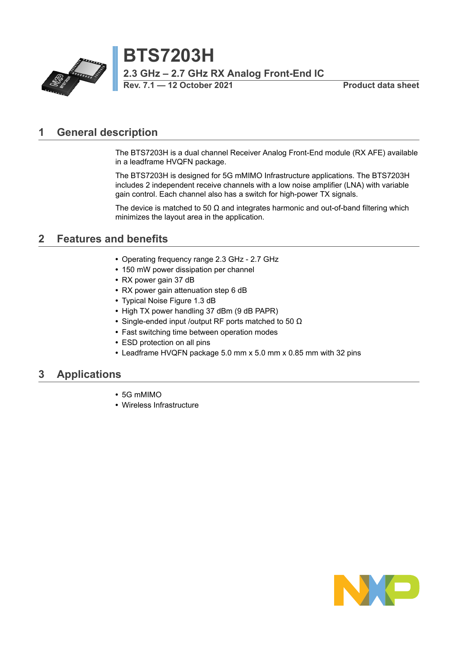

**BTS7203H 2.3 GHz – 2.7 GHz RX Analog Front-End IC Rev. 7.1 — 12 October 2021 Product data sheet**

### <span id="page-0-0"></span>**1 General description**

The BTS7203H is a dual channel Receiver Analog Front-End module (RX AFE) available in a leadframe HVQFN package.

The BTS7203H is designed for 5G mMIMO Infrastructure applications. The BTS7203H includes 2 independent receive channels with a low noise amplifier (LNA) with variable gain control. Each channel also has a switch for high-power TX signals.

The device is matched to 50  $\Omega$  and integrates harmonic and out-of-band filtering which minimizes the layout area in the application.

### <span id="page-0-1"></span>**2 Features and benefits**

- **•** Operating frequency range 2.3 GHz 2.7 GHz
- **•** 150 mW power dissipation per channel
- **•** RX power gain 37 dB
- **•** RX power gain attenuation step 6 dB
- **•** Typical Noise Figure 1.3 dB
- **•** High TX power handling 37 dBm (9 dB PAPR)
- **•** Single-ended input /output RF ports matched to 50 Ω
- **•** Fast switching time between operation modes
- **•** ESD protection on all pins
- **•** Leadframe HVQFN package 5.0 mm x 5.0 mm x 0.85 mm with 32 pins

### <span id="page-0-2"></span>**3 Applications**

- **•** 5G mMIMO
- **•** Wireless Infrastructure

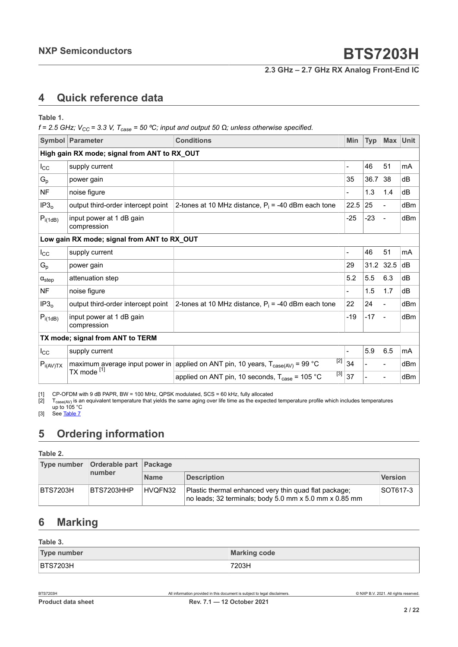**2.3 GHz – 2.7 GHz RX Analog Front-End IC**

## <span id="page-1-3"></span><span id="page-1-1"></span><span id="page-1-0"></span>**4 Quick reference data**

<span id="page-1-2"></span>**Table 1.**

 $f = 2.5$  GHz;  $V_{CC} = 3.3$  V,  $T_{case} = 50$  °C; input and output 50  $\Omega$ ; unless otherwise specified.

|                                             | Symbol Parameter                                                            | <b>Conditions</b>                                                                                   | <b>Min</b>     | <b>Typ</b> | Max           | <b>Unit</b> |  |
|---------------------------------------------|-----------------------------------------------------------------------------|-----------------------------------------------------------------------------------------------------|----------------|------------|---------------|-------------|--|
|                                             | High gain RX mode; signal from ANT to RX_OUT                                |                                                                                                     |                |            |               |             |  |
| $I_{\rm CC}$                                | supply current                                                              |                                                                                                     |                | 46         | 51            | mA          |  |
| $G_{p}$                                     | power gain                                                                  |                                                                                                     | 35             | 36.7       | 38            | dB          |  |
| <b>NF</b>                                   | noise figure                                                                |                                                                                                     |                | 1.3        | 1.4           | dB          |  |
| IP3 <sub>o</sub>                            | output third-order intercept point                                          | 2-tones at 10 MHz distance, $P_i = -40$ dBm each tone                                               | 22.5           | 25         | $\frac{1}{2}$ | dBm         |  |
| $P_{i(1dB)}$                                | input power at 1 dB gain<br>compression                                     |                                                                                                     | $-25$          | $-23$      | Ξ.            | dBm         |  |
| Low gain RX mode; signal from ANT to RX_OUT |                                                                             |                                                                                                     |                |            |               |             |  |
| $I_{\rm CC}$                                | supply current                                                              |                                                                                                     | $\overline{a}$ | 46         | 51            | mA          |  |
| $G_{p}$                                     | power gain                                                                  |                                                                                                     | 29             | 31.2       | 32.5          | dB          |  |
| $\alpha_{step}$                             | attenuation step                                                            |                                                                                                     | 5.2            | 5.5        | 6.3           | dB          |  |
| <b>NF</b>                                   | noise figure                                                                |                                                                                                     |                | 1.5        | 1.7           | dB          |  |
| IP3 <sub>o</sub>                            | output third-order intercept point                                          | 2-tones at 10 MHz distance, $P_i = -40$ dBm each tone                                               | 22             | 24         |               | dBm         |  |
| $P_{i(1dB)}$                                | input power at 1 dB gain<br>compression                                     |                                                                                                     | $-19$          | $-17$      |               | dBm         |  |
| TX mode; signal from ANT to TERM            |                                                                             |                                                                                                     |                |            |               |             |  |
| $I_{\rm CC}$                                | supply current                                                              |                                                                                                     |                | 5.9        | 6.5           | mA          |  |
| $P_{i(AV)TX}$                               |                                                                             | $[2]$<br>maximum average input power in applied on ANT pin, 10 years, $T_{\text{case(AV)}}$ = 99 °C | 34             |            |               | dBm         |  |
| TX mode <sup>[1]</sup>                      | $[3]$<br>applied on ANT pin, 10 seconds, $T_{\text{case}} = 105 \text{ °C}$ | 37                                                                                                  |                |            | dBm           |             |  |

[1] CP-OFDM with 9 dB PAPR, BW = 100 MHz, QPSK modulated, SCS = 60 kHz, fully allocated  $[2]$  T<sub>case(AV)</sub> is an equivalent temperature that yields the same aging over life time as the expecte

[2]  $\;$  T $_{\rm case (AV)}$  is an equivalent temperature that yields the same aging over life time as the expected temperature profile which includes temperatures up to 105 °C

[3] See <u>Table 7</u>

### <span id="page-1-4"></span>**5 Ordering information**

**Table 2.**

| Type number     | Orderable part Package |             |                                                                                                                 |                |  |
|-----------------|------------------------|-------------|-----------------------------------------------------------------------------------------------------------------|----------------|--|
|                 | number                 | <b>Name</b> | <b>Description</b>                                                                                              | <b>Version</b> |  |
| <b>BTS7203H</b> | BTS7203HHP             | HVQFN32     | Plastic thermal enhanced very thin quad flat package;<br>no leads; 32 terminals; body 5.0 mm x 5.0 mm x 0.85 mm | SOT617-3       |  |

## <span id="page-1-5"></span>**6 Marking**

**Table 3.**

| <b>Type number</b> | <b>Marking code</b> |
|--------------------|---------------------|
| <b>BTS7203H</b>    | 7203H               |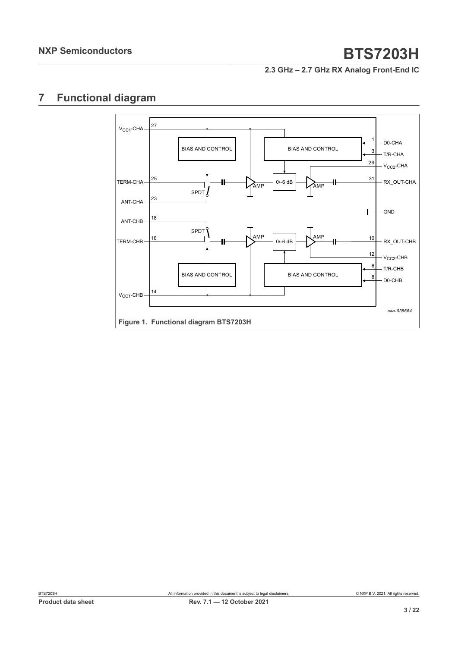**2.3 GHz – 2.7 GHz RX Analog Front-End IC**

## <span id="page-2-0"></span>**7 Functional diagram**

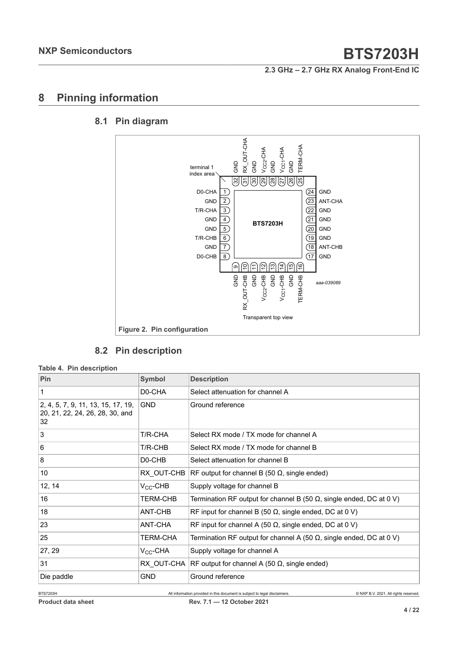**2.3 GHz – 2.7 GHz RX Analog Front-End IC**

## <span id="page-3-0"></span>**8 Pinning information**

#### **8.1 Pin diagram**

<span id="page-3-1"></span>

### <span id="page-3-2"></span>**8.2 Pin description**

#### **Table 4. Pin description**

| Pin                                                                         | <b>Symbol</b>       | <b>Description</b>                                                          |  |  |
|-----------------------------------------------------------------------------|---------------------|-----------------------------------------------------------------------------|--|--|
| 1                                                                           | D0-CHA              | Select attenuation for channel A                                            |  |  |
| 2, 4, 5, 7, 9, 11, 13, 15, 17, 19,<br>20, 21, 22, 24, 26, 28, 30, and<br>32 | <b>GND</b>          | Ground reference                                                            |  |  |
| 3                                                                           | T/R-CHA             | Select RX mode / TX mode for channel A                                      |  |  |
| 6                                                                           | T/R-CHB             | Select RX mode / TX mode for channel B                                      |  |  |
| 8                                                                           | D <sub>0</sub> -CHB | Select attenuation for channel B                                            |  |  |
| 10                                                                          | RX OUT-CHB          | RF output for channel B (50 $\Omega$ , single ended)                        |  |  |
| 12, 14                                                                      | $V_{CC}$ -CHB       | Supply voltage for channel B                                                |  |  |
| 16                                                                          | <b>TERM-CHB</b>     | Termination RF output for channel B (50 $\Omega$ , single ended, DC at 0 V) |  |  |
| 18                                                                          | ANT-CHB             | RF input for channel B (50 $\Omega$ , single ended, DC at 0 V)              |  |  |
| 23                                                                          | ANT-CHA             | RF input for channel A (50 $\Omega$ , single ended, DC at 0 V)              |  |  |
| 25                                                                          | <b>TERM-CHA</b>     | Termination RF output for channel A (50 $\Omega$ , single ended, DC at 0 V) |  |  |
| 27, 29                                                                      | $V_{CC}$ -CHA       | Supply voltage for channel A                                                |  |  |
| 31                                                                          | RX OUT-CHA          | RF output for channel A (50 $\Omega$ , single ended)                        |  |  |
| Die paddle                                                                  | <b>GND</b>          | Ground reference                                                            |  |  |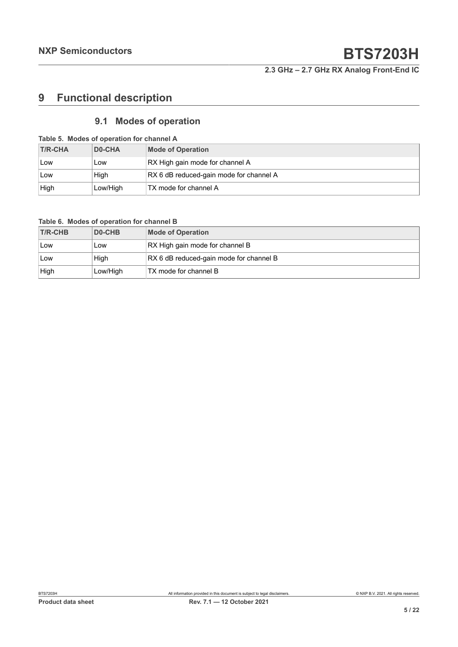**2.3 GHz – 2.7 GHz RX Analog Front-End IC**

## <span id="page-4-0"></span>**9 Functional description**

### <span id="page-4-1"></span>**9.1 Modes of operation**

| Table 5. Modes of operation for channel A |                     |                                         |  |  |
|-------------------------------------------|---------------------|-----------------------------------------|--|--|
| <b>T/R-CHA</b>                            | D <sub>0</sub> -CHA | <b>Mode of Operation</b>                |  |  |
| Low                                       | Low                 | RX High gain mode for channel A         |  |  |
| <b>Low</b>                                | High                | RX 6 dB reduced-gain mode for channel A |  |  |
| High                                      | Low/High            | TX mode for channel A                   |  |  |

#### **Table 6. Modes of operation for channel B**

| <b>T/R-CHB</b> | DO-CHB   | <b>Mode of Operation</b>                |
|----------------|----------|-----------------------------------------|
| Low            | Low      | RX High gain mode for channel B         |
| ∣Low           | High     | RX 6 dB reduced-gain mode for channel B |
| High           | Low/High | TX mode for channel B                   |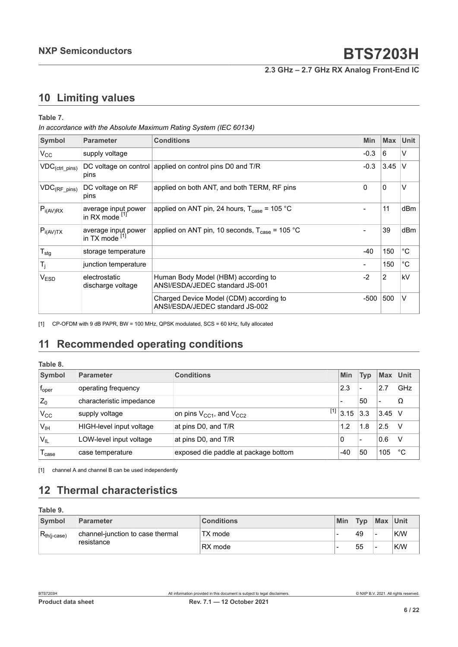**2.3 GHz – 2.7 GHz RX Analog Front-End IC**

## <span id="page-5-2"></span><span id="page-5-1"></span>**10 Limiting values**

#### <span id="page-5-0"></span>**Table 7.**

*In accordance with the Absolute Maximum Rating System (IEC 60134)*

| Symbol                        | <b>Parameter</b>                      | <b>Conditions</b>                                                          | Min    | <b>Max</b> | <b>Unit</b>  |
|-------------------------------|---------------------------------------|----------------------------------------------------------------------------|--------|------------|--------------|
| $V_{CC}$                      | supply voltage                        |                                                                            | $-0.3$ | 6          | V            |
| $\mathsf{VDC}_{(ctrl\_pins)}$ | pins                                  | DC voltage on control applied on control pins D0 and T/R                   | $-0.3$ | 3.45       | $\vee$       |
| $ VDC_{(RF\_pins)} $          | DC voltage on RF<br>pins              | applied on both ANT, and both TERM, RF pins                                | 0      | $\Omega$   | V            |
| $ P_{i(AV)RX} $               | average input power<br>in RX mode [1] | applied on ANT pin, 24 hours, $T_{\text{case}}$ = 105 °C                   |        | 11         | dBm          |
| $P_{i(AV)TX}$                 | average input power<br>in TX mode [1] | applied on ANT pin, 10 seconds, $T_{\text{case}}$ = 105 °C                 |        | 39         | dBm          |
| $T_{\text{stg}}$              | storage temperature                   |                                                                            | $-40$  | 150        | $^{\circ}$ C |
| $T_j$                         | junction temperature                  |                                                                            |        | 150        | $^{\circ}$ C |
| V <sub>ESD</sub>              | electrostatic<br>discharge voltage    | Human Body Model (HBM) according to<br>ANSI/ESDA/JEDEC standard JS-001     | $-2$   | 2          | kV           |
|                               |                                       | Charged Device Model (CDM) according to<br>ANSI/ESDA/JEDEC standard JS-002 | $-500$ | 500        | $\vee$       |

[1] CP-OFDM with 9 dB PAPR, BW = 100 MHz, QPSK modulated, SCS = 60 kHz, fully allocated

## <span id="page-5-3"></span>**11 Recommended operating conditions**

#### **Table 8.**

| Symbol            | <b>Parameter</b>         | <b>Conditions</b>                    | Min           | <b>Typ</b> | <b>Max</b>               | Unit |
|-------------------|--------------------------|--------------------------------------|---------------|------------|--------------------------|------|
| $f_{\rm oper}$    | operating frequency      |                                      | 2.3           | -          | 2.7                      | GHz  |
| $Z_0$             | characteristic impedance |                                      |               | 50         | $\overline{\phantom{0}}$ | Ω    |
| $V_{\rm CC}$      | supply voltage           | on pins $V_{CC1}$ , and $V_{CC2}$    | $^{[1]}$ 3.15 | 3.3        | $3.45$ V                 |      |
| V <sub>IH</sub>   | HIGH-level input voltage | at pins D0, and T/R                  | 1.2           | 1.8        | 2.5                      |      |
| $V_{IL}$          | LOW-level input voltage  | at pins D0, and T/R                  | 0             | -          | 0.6                      |      |
| <sup>l</sup> case | case temperature         | exposed die paddle at package bottom | $-40$         | 50         | 105                      | °C   |

[1] channel A and channel B can be used independently

## <span id="page-5-4"></span>**12 Thermal characteristics**

| Table 9.         |                                                |                   |     |            |          |     |
|------------------|------------------------------------------------|-------------------|-----|------------|----------|-----|
| Symbol           | Parameter                                      | <b>Conditions</b> | Min | <b>Typ</b> | Max Unit |     |
| $R_{th(i-case)}$ | channel-junction to case thermal<br>resistance | TX mode           |     | 49         | -        | K/W |
|                  |                                                | RX mode           | -   | 55         | -        | K/W |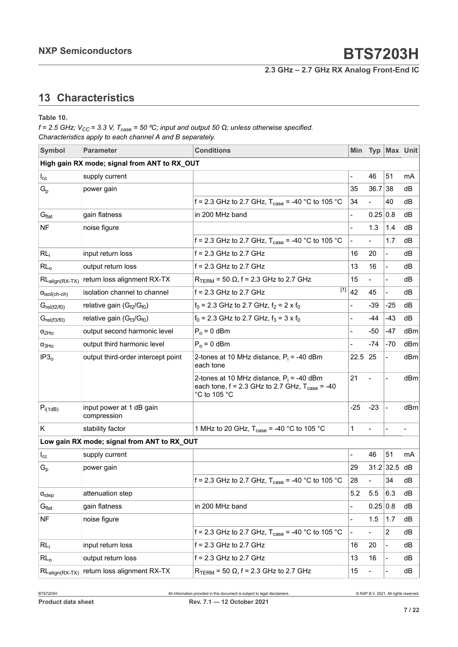**2.3 GHz – 2.7 GHz RX Analog Front-End IC**

## <span id="page-6-0"></span>**13 Characteristics**

**Table 10.**

 $f = 2.5$  GHz;  $V_{CC} = 3.3$  V,  $T_{case} = 50$  °C; input and output 50  $\Omega$ ; unless otherwise specified. *Characteristics apply to each channel A and B separately.*

| <b>Symbol</b>                 | <b>Parameter</b>                             | <b>Conditions</b>                                                                                                           |                | <b>Typ</b> | Max Unit                     |     |
|-------------------------------|----------------------------------------------|-----------------------------------------------------------------------------------------------------------------------------|----------------|------------|------------------------------|-----|
|                               | High gain RX mode; signal from ANT to RX_OUT |                                                                                                                             |                |            |                              |     |
| $I_{\rm cc}$                  | supply current                               |                                                                                                                             |                | 46         | 51                           | mA  |
| $G_p$                         | power gain                                   |                                                                                                                             | 35             | 36.7       | 38                           | dВ  |
|                               |                                              | f = 2.3 GHz to 2.7 GHz, $T_{\text{case}} = -40 \degree C$ to 105 °C                                                         | 34             |            | 40                           | dВ  |
| G <sub>flat</sub>             | gain flatness                                | in 200 MHz band                                                                                                             |                | 0.25 0.8   |                              | dB  |
| <b>NF</b>                     | noise figure                                 |                                                                                                                             |                | 1.3        | 1.4                          | dВ  |
|                               |                                              | f = 2.3 GHz to 2.7 GHz, $T_{\text{case}}$ = -40 °C to 105 °C                                                                |                |            | 1.7                          | dB  |
| RL <sub>i</sub>               | input return loss                            | $f = 2.3$ GHz to 2.7 GHz                                                                                                    | 16             | 20         | $\frac{1}{2}$                | dB  |
| RL <sub>o</sub>               | output return loss                           | $f = 2.3$ GHz to 2.7 GHz                                                                                                    | 13             | 16         | $\frac{1}{2}$                | dВ  |
| $RL_{align(RX-TX)}$           | return loss alignment RX-TX                  | $R_{TERM}$ = 50 $\Omega$ , f = 2.3 GHz to 2.7 GHz                                                                           | 15             |            | $\frac{1}{2}$                | dВ  |
| $\alpha_{\text{isol(ch-ch)}}$ | isolation channel to channel                 | $[1]$<br>$f = 2.3$ GHz to 2.7 GHz                                                                                           | 42             | 45         | $\blacksquare$               | dВ  |
| $G_{rel(f2/f0)}$              | relative gain $(G_{f2}/G_{f0})$              | $f_0$ = 2.3 GHz to 2.7 GHz, $f_2$ = 2 x $f_0$                                                                               |                | $-39$      | $-25$                        | dВ  |
| $G_{rel(f3/f0)}$              | relative gain $(G_{f3}/G_{f0})$              | $f_0$ = 2.3 GHz to 2.7 GHz, $f_3$ = 3 x $f_0$                                                                               |                | $-44$      | $-43$                        | dВ  |
| $\alpha_{2Ho}$                | output second harmonic level                 | $P_0 = 0$ dBm                                                                                                               |                | -50        | -47                          | dBm |
| $\alpha_{3Ho}$                | output third harmonic level                  | $P_0 = 0$ dBm                                                                                                               |                | $-74$      | $-70$                        | dBm |
| IP3 <sub>o</sub>              | output third-order intercept point           | 2-tones at 10 MHz distance, $P_i$ = -40 dBm<br>each tone                                                                    | 22.5           | 25         | $\qquad \qquad \blacksquare$ | dBm |
|                               |                                              | 2-tones at 10 MHz distance, $P_i = -40$ dBm<br>each tone, $f = 2.3$ GHz to 2.7 GHz, $T_{\text{case}} = -40$<br>°C to 105 °C | 21             |            |                              | dBm |
| $P_{i(1dB)}$                  | input power at 1 dB gain<br>compression      |                                                                                                                             | $-25$          | $-23$      | $\blacksquare$               | dBm |
| K                             | stability factor                             | 1 MHz to 20 GHz, $T_{\text{case}} = -40$ °C to 105 °C                                                                       | $\mathbf{1}$   |            | $\overline{\phantom{a}}$     |     |
|                               | Low gain RX mode; signal from ANT to RX_OUT  |                                                                                                                             |                |            |                              |     |
| $I_{\rm cc}$                  | supply current                               |                                                                                                                             |                | 46         | 51                           | mA  |
| $G_{p}$                       | power gain                                   |                                                                                                                             | 29             |            | $31.2$ 32.5                  | dB  |
|                               |                                              | f = 2.3 GHz to 2.7 GHz, $T_{\text{case}}$ = -40 °C to 105 °C                                                                | 28             |            | 34                           | dB  |
| $\alpha_{step}$               | attenuation step                             |                                                                                                                             | 5.2            | 5.5        | 6.3                          | dB  |
| $\mathbf{G}_{\text{flat}}$    | gain flatness                                | in 200 MHz band                                                                                                             |                | 0.25 0.8   |                              | dB  |
| <b>NF</b>                     | noise figure                                 |                                                                                                                             | $\overline{a}$ | 1.5        | 1.7                          | dB  |
|                               |                                              | f = 2.3 GHz to 2.7 GHz, $T_{\text{case}}$ = -40 °C to 105 °C                                                                |                |            | $\overline{2}$               | dB  |
| RL <sub>i</sub>               | input return loss                            | $f = 2.3$ GHz to 2.7 GHz                                                                                                    | 16             | 20         | $\blacksquare$               | dВ  |
| RL <sub>o</sub>               | output return loss                           | $f = 2.3$ GHz to 2.7 GHz                                                                                                    | 13             | 16         | $\overline{\phantom{a}}$     | dB  |
| $RL_{align(RX-TX)}$           | return loss alignment RX-TX                  | $R_{\text{TFRM}}$ = 50 $\Omega$ , f = 2.3 GHz to 2.7 GHz                                                                    | 15             |            | $\qquad \qquad \blacksquare$ | dB  |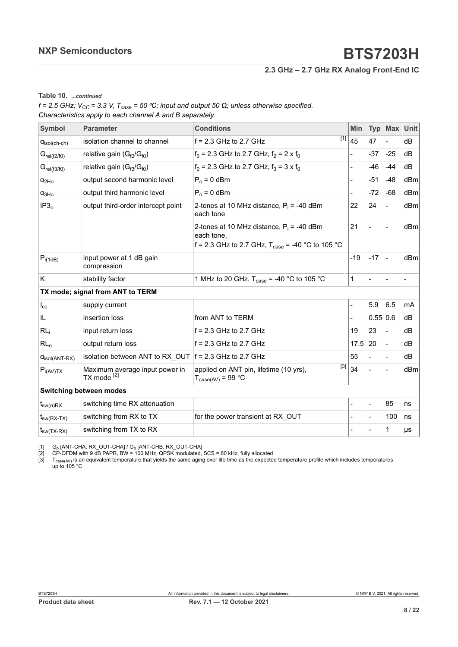**2.3 GHz – 2.7 GHz RX Analog Front-End IC**

<span id="page-7-0"></span>**Table 10.** *...continued*

<span id="page-7-2"></span><span id="page-7-1"></span> $f = 2.5$  GHz;  $V_{CC} = 3.3$  V,  $T_{case} = 50$  °C; input and output 50  $\Omega$ ; unless otherwise specified. *Characteristics apply to each channel A and B separately.*

| Symbol                         | <b>Parameter</b>                                          | <b>Conditions</b>                                                                                                         |                     | <b>Typ</b> | <b>Max</b>     | Unit |
|--------------------------------|-----------------------------------------------------------|---------------------------------------------------------------------------------------------------------------------------|---------------------|------------|----------------|------|
| $\alpha_{\text{isol(ch-ch)}}$  | isolation channel to channel                              | $f = 2.3$ GHz to 2.7 GHz                                                                                                  | $\overline{[1]}$ 45 | 47         | $\blacksquare$ | dB   |
| $G_{rel(f2/f0)}$               | relative gain $(G_{f2}/G_{f0})$                           | $f_0$ = 2.3 GHz to 2.7 GHz, $f_2$ = 2 x $f_0$                                                                             |                     | $-37$      | $-25$          | dB   |
| $G_{rel(f3/f0)}$               | relative gain $(G_{f3}/G_{f0})$                           | $f_0$ = 2.3 GHz to 2.7 GHz, $f_3$ = 3 x $f_0$                                                                             |                     | $-46$      | $-44$          | dВ   |
| $\alpha$ <sub>2Ho</sub>        | output second harmonic level                              | $P_0 = 0$ dBm                                                                                                             | $\overline{a}$      | $-51$      | $-48$          | dBm  |
| $\alpha_{3Ho}$                 | output third harmonic level                               | $P_0 = 0$ dBm                                                                                                             |                     | $-72$      | $-68$          | dBm  |
| IP3 <sub>o</sub>               | output third-order intercept point                        | 2-tones at 10 MHz distance, $P_i = -40$ dBm<br>each tone                                                                  | 22                  | 24         | $\blacksquare$ | dBm  |
|                                |                                                           | 2-tones at 10 MHz distance, $P_i = -40$ dBm<br>each tone,<br>f = 2.3 GHz to 2.7 GHz, $T_{\text{case}}$ = -40 °C to 105 °C | 21                  |            |                | dBm  |
| $P_{i(1dB)}$                   | input power at 1 dB gain<br>compression                   |                                                                                                                           | $-19$               | $-17$      | $\blacksquare$ | dBm  |
| Κ                              | stability factor                                          | 1 MHz to 20 GHz, $T_{\text{case}} = -40$ °C to 105 °C                                                                     | 1                   |            |                |      |
|                                | TX mode; signal from ANT to TERM                          |                                                                                                                           |                     |            |                |      |
| $I_{\rm cc}$                   | supply current                                            |                                                                                                                           |                     | 5.9        | 6.5            | mA   |
| IL                             | insertion loss                                            | from ANT to TERM                                                                                                          |                     | 0.55 0.6   |                | dB   |
| RL <sub>i</sub>                | input return loss                                         | $f = 2.3$ GHz to 2.7 GHz                                                                                                  | 19                  | 23         | $\blacksquare$ | dB   |
| RL <sub>o</sub>                | output return loss                                        | $f = 2.3$ GHz to 2.7 GHz                                                                                                  | 17.5                | 20         | $\blacksquare$ | dB   |
| $\alpha_{\text{isol(ANT-RX)}}$ | isolation between ANT to RX OUT $ f = 2.3$ GHz to 2.7 GHz |                                                                                                                           | 55                  |            | $\blacksquare$ | dВ   |
| $P_{i(AV)TX}$                  | Maximum average input power in<br>TX mode <sup>[2]</sup>  | [3]<br>applied on ANT pin, lifetime (10 yrs),<br>$T_{\text{case(AV)}} = 99 \text{ °C}$                                    | 34                  |            |                | dBm  |
|                                | Switching between modes                                   |                                                                                                                           |                     |            |                |      |
| $t_{sw(\alpha)RX}$             | switching time RX attenuation                             |                                                                                                                           |                     |            | 85             | ns   |
| $t_{sw(RX-TX)}$                | switching from RX to TX                                   | for the power transient at RX OUT                                                                                         |                     |            | 100            | ns   |
| $t_{sw(TX-RX)}$                | switching from TX to RX                                   |                                                                                                                           |                     |            | 1              | μs   |

[1] G<sub>p</sub> [ANT-CHA, RX\_OUT-CHA] / G<sub>p</sub> [ANT-CHB, RX\_OUT-CHA]<br>[2] CP-OFDM with 9 dB PAPR, BW = 100 MHz, QPSK modulated, SCS = 60 kHz, fully allocated

[3]  $\;$  T $_{\rm case (AV)}$  is an equivalent temperature that yields the same aging over life time as the expected temperature profile which includes temperatures up to 105 °C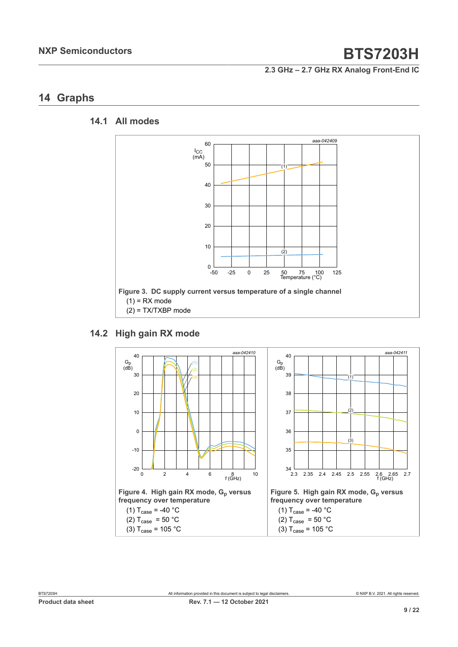**2.3 GHz – 2.7 GHz RX Analog Front-End IC**

### <span id="page-8-0"></span>**14 Graphs**

#### **14.1 All modes**

<span id="page-8-1"></span>

### **14.2 High gain RX mode**

<span id="page-8-2"></span>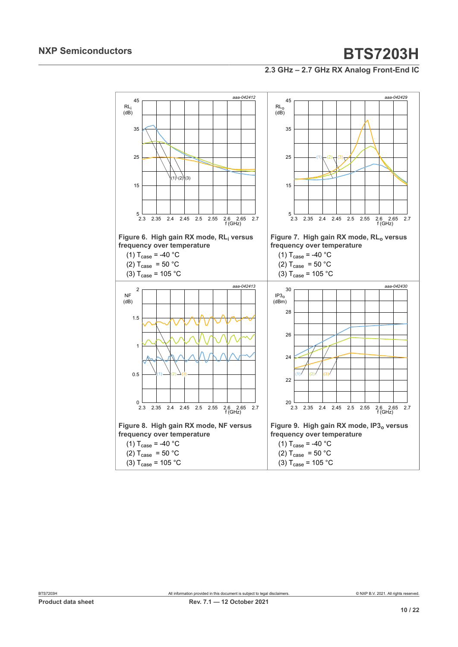**2.3 GHz – 2.7 GHz RX Analog Front-End IC**

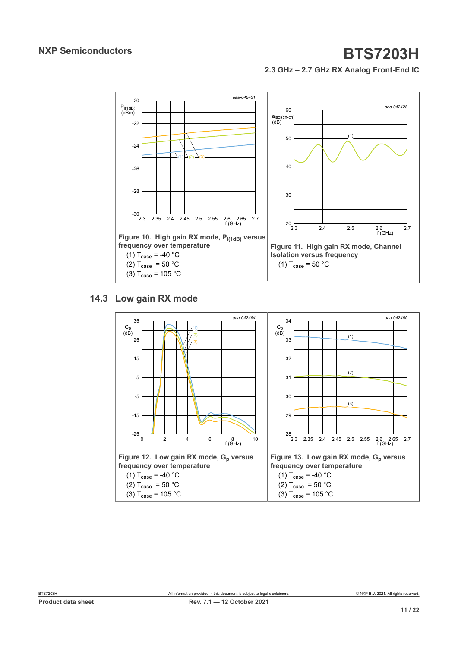**2.3 GHz – 2.7 GHz RX Analog Front-End IC**



#### **14.3 Low gain RX mode**

<span id="page-10-0"></span>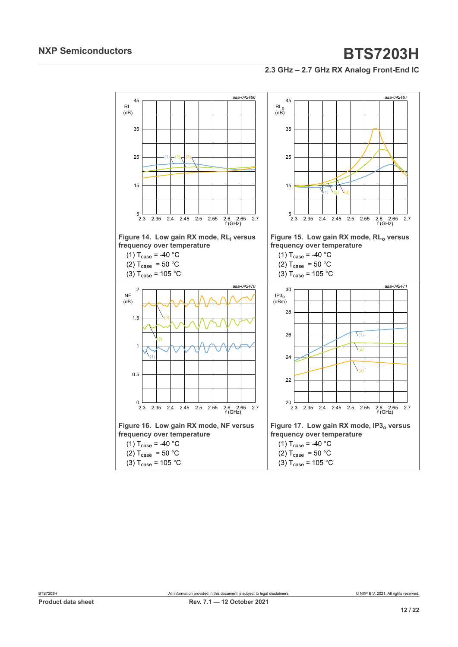**2.3 GHz – 2.7 GHz RX Analog Front-End IC**

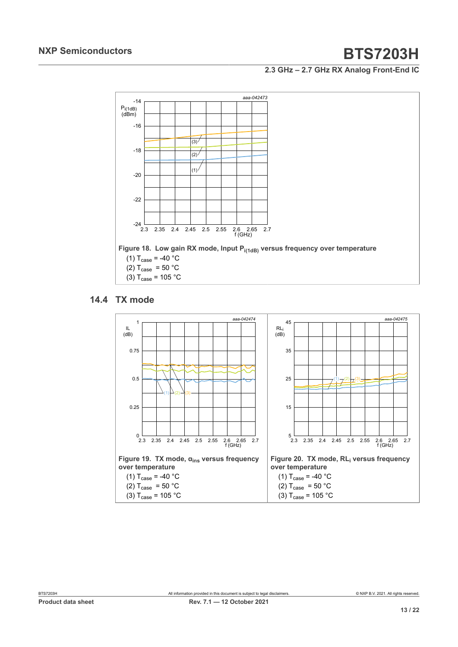**2.3 GHz – 2.7 GHz RX Analog Front-End IC**



#### **14.4 TX mode**

<span id="page-12-0"></span>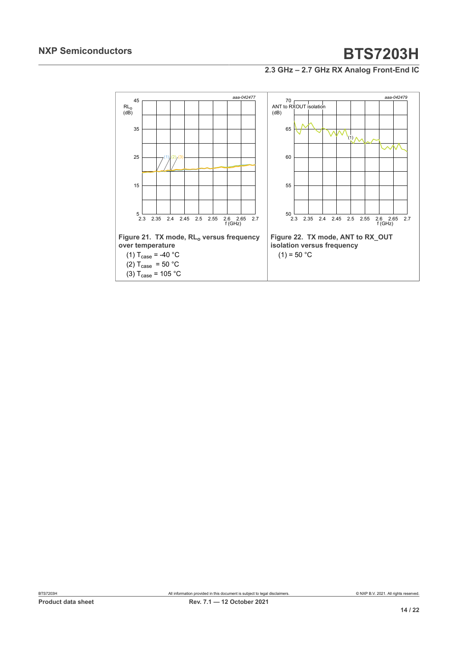**2.3 GHz – 2.7 GHz RX Analog Front-End IC**

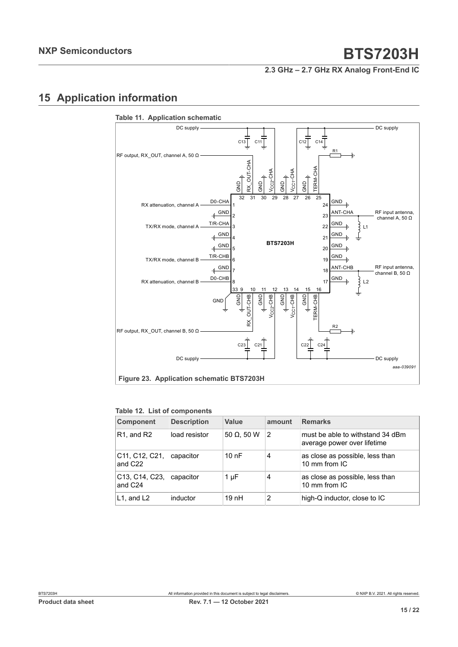#### **2.3 GHz – 2.7 GHz RX Analog Front-End IC**

## <span id="page-14-0"></span>**15 Application information**



#### **Table 12. List of components**

| <b>Component</b>                                                             | <b>Description</b> | Value              | amount | <b>Remarks</b>                                                  |
|------------------------------------------------------------------------------|--------------------|--------------------|--------|-----------------------------------------------------------------|
| R <sub>1</sub> , and R <sub>2</sub>                                          | load resistor      | 50 $\Omega$ , 50 W | 2      | must be able to withstand 34 dBm<br>average power over lifetime |
| C11, C12, C21,<br>and C <sub>22</sub>                                        | capacitor          | 10nF               | 4      | as close as possible, less than<br>10 mm from IC                |
| C <sub>13</sub> , C <sub>14</sub> , C <sub>23</sub> ,<br>and C <sub>24</sub> | capacitor          | $1 \mu F$          | 4      | as close as possible, less than<br>10 mm from IC                |
| $L1$ , and $L2$                                                              | inductor           | 19 nH              | 2      | high-Q inductor, close to IC                                    |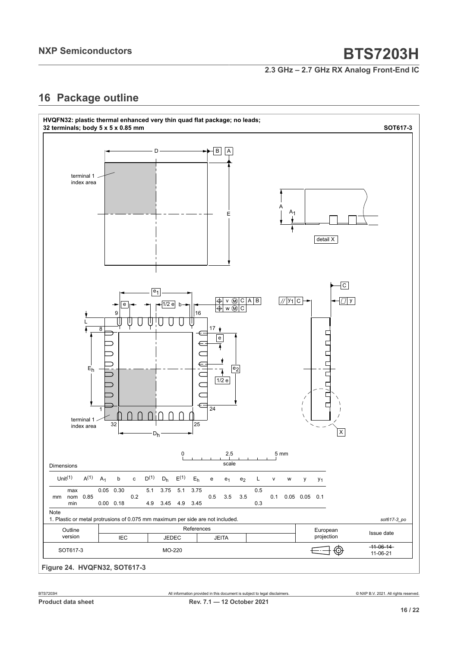**2.3 GHz – 2.7 GHz RX Analog Front-End IC**

### <span id="page-15-0"></span>**16 Package outline**

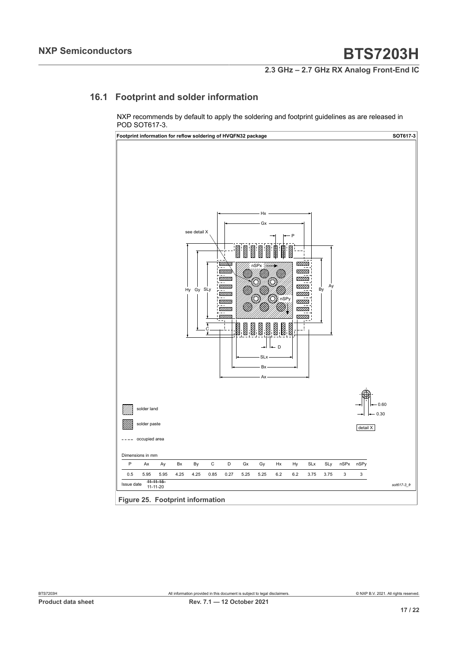**2.3 GHz – 2.7 GHz RX Analog Front-End IC**

### **16.1 Footprint and solder information**

<span id="page-16-0"></span>NXP recommends by default to apply the soldering and footprint guidelines as are released in POD SOT617-3.



**Figure 25. Footprint information**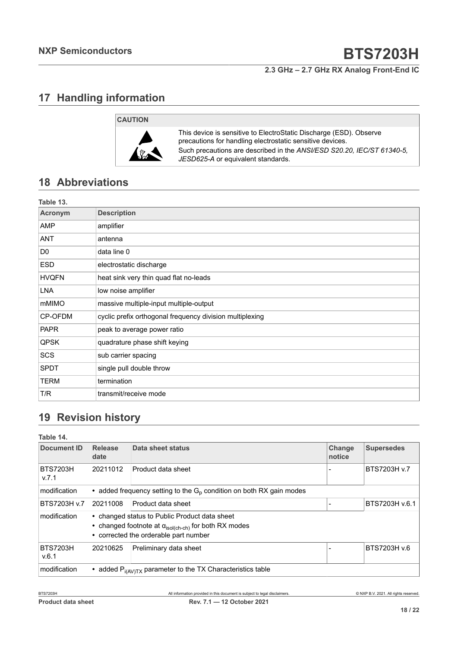**2.3 GHz – 2.7 GHz RX Analog Front-End IC**

### <span id="page-17-0"></span>**17 Handling information**



This device is sensitive to ElectroStatic Discharge (ESD). Observe precautions for handling electrostatic sensitive devices. Such precautions are described in the *ANSI/ESD S20.20, IEC/ST 61340-5, JESD625-A* or equivalent standards.

## <span id="page-17-1"></span>**18 Abbreviations**

| Table 13.      |                                                          |
|----------------|----------------------------------------------------------|
| Acronym        | <b>Description</b>                                       |
| AMP            | amplifier                                                |
| <b>ANT</b>     | antenna                                                  |
| D <sub>0</sub> | data line 0                                              |
| <b>ESD</b>     | electrostatic discharge                                  |
| <b>HVQFN</b>   | heat sink very thin quad flat no-leads                   |
| <b>LNA</b>     | low noise amplifier                                      |
| mMIMO          | massive multiple-input multiple-output                   |
| CP-OFDM        | cyclic prefix orthogonal frequency division multiplexing |
| <b>PAPR</b>    | peak to average power ratio                              |
| <b>QPSK</b>    | quadrature phase shift keying                            |
| SCS            | sub carrier spacing                                      |
| <b>SPDT</b>    | single pull double throw                                 |
| <b>TERM</b>    | termination                                              |
| T/R            | transmit/receive mode                                    |

## <span id="page-17-2"></span>**19 Revision history**

| Table 14.                |                        |                                                                                                                                                                 |                  |                   |
|--------------------------|------------------------|-----------------------------------------------------------------------------------------------------------------------------------------------------------------|------------------|-------------------|
| Document ID              | <b>Release</b><br>date | <b>Data sheet status</b>                                                                                                                                        | Change<br>notice | <b>Supersedes</b> |
| <b>BTS7203H</b><br>V.7.1 | 20211012               | Product data sheet                                                                                                                                              |                  | BTS7203H v.7      |
| modification             |                        | • added frequency setting to the $G_p$ condition on both RX gain modes                                                                                          |                  |                   |
| BTS7203H v.7             | 20211008               | Product data sheet                                                                                                                                              |                  | BTS7203H v.6.1    |
| modification             |                        | • changed status to Public Product data sheet<br>• changed footnote at $\alpha_{\text{isol(ch-ch)}}$ for both RX modes<br>• corrected the orderable part number |                  |                   |
| <b>BTS7203H</b><br>V.6.1 | 20210625               | Preliminary data sheet                                                                                                                                          |                  | BTS7203H v.6      |
| modification             |                        | • added $P_{i(AV)TX}$ parameter to the TX Characteristics table                                                                                                 |                  |                   |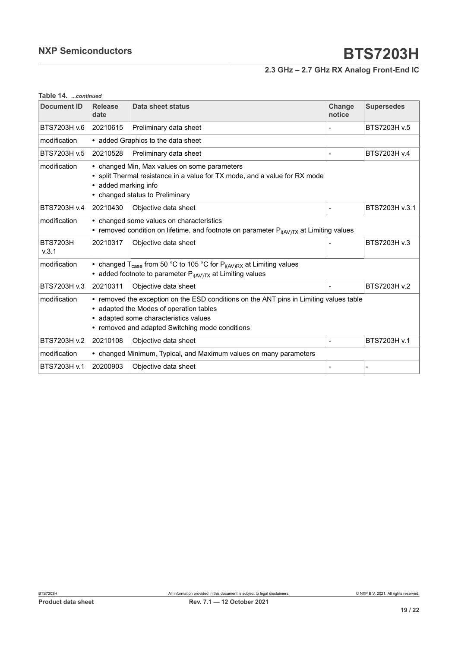### **2.3 GHz – 2.7 GHz RX Analog Front-End IC**

| Table 14. <i>.continued</i> |                                                                                                                                                                                       |                                                                                                                                                                                                                               |                  |                   |
|-----------------------------|---------------------------------------------------------------------------------------------------------------------------------------------------------------------------------------|-------------------------------------------------------------------------------------------------------------------------------------------------------------------------------------------------------------------------------|------------------|-------------------|
| <b>Document ID</b>          | <b>Release</b><br>date                                                                                                                                                                | Data sheet status                                                                                                                                                                                                             | Change<br>notice | <b>Supersedes</b> |
| BTS7203H v.6                | 20210615                                                                                                                                                                              | Preliminary data sheet                                                                                                                                                                                                        |                  | BTS7203H v.5      |
| modification                | • added Graphics to the data sheet                                                                                                                                                    |                                                                                                                                                                                                                               |                  |                   |
| BTS7203H v.5                | 20210528                                                                                                                                                                              | Preliminary data sheet                                                                                                                                                                                                        |                  | BTS7203H v.4      |
| modification                | • changed Min, Max values on some parameters<br>• split Thermal resistance in a value for TX mode, and a value for RX mode<br>• added marking info<br>• changed status to Preliminary |                                                                                                                                                                                                                               |                  |                   |
| BTS7203H v.4                | 20210430                                                                                                                                                                              | Objective data sheet                                                                                                                                                                                                          |                  | BTS7203H v.3.1    |
| modification                | • changed some values on characteristics<br>• removed condition on lifetime, and footnote on parameter $P_{i(AV)Tx}$ at Limiting values                                               |                                                                                                                                                                                                                               |                  |                   |
| <b>BTS7203H</b><br>V.3.1    | 20210317                                                                                                                                                                              | Objective data sheet                                                                                                                                                                                                          |                  | BTS7203H v.3      |
| modification                |                                                                                                                                                                                       | • changed $T_{\text{case}}$ from 50 °C to 105 °C for $P_{i(AV)RX}$ at Limiting values<br>• added footnote to parameter $P_{i(AV)TX}$ at Limiting values                                                                       |                  |                   |
| BTS7203H v.3                | 20210311                                                                                                                                                                              | Objective data sheet                                                                                                                                                                                                          |                  | BTS7203H v.2      |
| modification                |                                                                                                                                                                                       | • removed the exception on the ESD conditions on the ANT pins in Limiting values table<br>• adapted the Modes of operation tables<br>• adapted some characteristics values<br>• removed and adapted Switching mode conditions |                  |                   |
| BTS7203H v.2                | 20210108                                                                                                                                                                              | Objective data sheet                                                                                                                                                                                                          |                  | BTS7203H v.1      |
| modification                |                                                                                                                                                                                       | • changed Minimum, Typical, and Maximum values on many parameters                                                                                                                                                             |                  |                   |
| BTS7203H v.1                | 20200903                                                                                                                                                                              | Objective data sheet                                                                                                                                                                                                          |                  |                   |

#### **Table 14.** *...continued*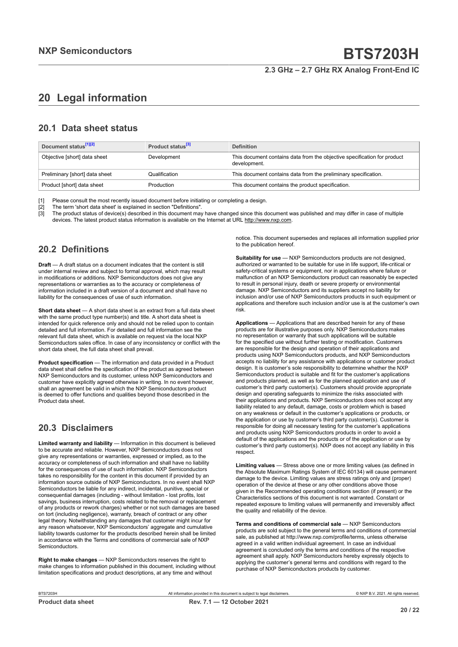#### **2.3 GHz – 2.7 GHz RX Analog Front-End IC**

## <span id="page-19-0"></span>**20 Legal information**

#### **20.1 Data sheet status**

| Document status <sup>[1][2]</sup> | Product status <sup>[3]</sup> | <b>Definition</b>                                                                        |
|-----------------------------------|-------------------------------|------------------------------------------------------------------------------------------|
| Objective [short] data sheet      | Development                   | This document contains data from the objective specification for product<br>development. |
| Preliminary [short] data sheet    | Qualification                 | This document contains data from the preliminary specification.                          |
| Product [short] data sheet        | Production                    | This document contains the product specification.                                        |

[1] Please consult the most recently issued document before initiating or completing a design.<br>[2] The term 'short data sheet' is explained in section "Definitions".

t :<br>[2] The term 'short data sheet' is explained in section "Definitions".<br>[3] The product status of device(s) described in this document may

The product status of device(s) described in this document may have changed since this document was published and may differ in case of multiple devices. The latest product status information is available on the Internet at URL http://www.nxp.com.

#### **20.2 Definitions**

**Draft** — A draft status on a document indicates that the content is still under internal review and subject to formal approval, which may result in modifications or additions. NXP Semiconductors does not give any representations or warranties as to the accuracy or completeness of information included in a draft version of a document and shall have no liability for the consequences of use of such information.

**Short data sheet** — A short data sheet is an extract from a full data sheet with the same product type number(s) and title. A short data sheet is intended for quick reference only and should not be relied upon to contain detailed and full information. For detailed and full information see the relevant full data sheet, which is available on request via the local NXP Semiconductors sales office. In case of any inconsistency or conflict with the short data sheet, the full data sheet shall prevail.

**Product specification** — The information and data provided in a Product data sheet shall define the specification of the product as agreed between NXP Semiconductors and its customer, unless NXP Semiconductors and customer have explicitly agreed otherwise in writing. In no event however, shall an agreement be valid in which the NXP Semiconductors product is deemed to offer functions and qualities beyond those described in the Product data sheet.

#### **20.3 Disclaimers**

**Limited warranty and liability** — Information in this document is believed to be accurate and reliable. However, NXP Semiconductors does not give any representations or warranties, expressed or implied, as to the accuracy or completeness of such information and shall have no liability for the consequences of use of such information. NXP Semiconductors takes no responsibility for the content in this document if provided by an information source outside of NXP Semiconductors. In no event shall NXP Semiconductors be liable for any indirect, incidental, punitive, special or consequential damages (including - without limitation - lost profits, lost savings, business interruption, costs related to the removal or replacement of any products or rework charges) whether or not such damages are based on tort (including negligence), warranty, breach of contract or any other legal theory. Notwithstanding any damages that customer might incur for any reason whatsoever, NXP Semiconductors' aggregate and cumulative liability towards customer for the products described herein shall be limited in accordance with the Terms and conditions of commercial sale of NXP **Semiconductors** 

**Right to make changes** — NXP Semiconductors reserves the right to make changes to information published in this document, including without limitation specifications and product descriptions, at any time and without

notice. This document supersedes and replaces all information supplied prior to the publication hereof.

**Suitability for use** — NXP Semiconductors products are not designed, authorized or warranted to be suitable for use in life support, life-critical or safety-critical systems or equipment, nor in applications where failure or malfunction of an NXP Semiconductors product can reasonably be expected to result in personal injury, death or severe property or environmental damage. NXP Semiconductors and its suppliers accept no liability for inclusion and/or use of NXP Semiconductors products in such equipment or applications and therefore such inclusion and/or use is at the customer's own risk.

**Applications** — Applications that are described herein for any of these products are for illustrative purposes only. NXP Semiconductors makes no representation or warranty that such applications will be suitable for the specified use without further testing or modification. Customers are responsible for the design and operation of their applications and products using NXP Semiconductors products, and NXP Semiconductors accepts no liability for any assistance with applications or customer product design. It is customer's sole responsibility to determine whether the NXP Semiconductors product is suitable and fit for the customer's applications and products planned, as well as for the planned application and use of customer's third party customer(s). Customers should provide appropriate design and operating safeguards to minimize the risks associated with their applications and products. NXP Semiconductors does not accept any liability related to any default, damage, costs or problem which is based on any weakness or default in the customer's applications or products, or the application or use by customer's third party customer(s). Customer is responsible for doing all necessary testing for the customer's applications and products using NXP Semiconductors products in order to avoid a default of the applications and the products or of the application or use by customer's third party customer(s). NXP does not accept any liability in this respect.

**Limiting values** — Stress above one or more limiting values (as defined in the Absolute Maximum Ratings System of IEC 60134) will cause permanent damage to the device. Limiting values are stress ratings only and (proper) operation of the device at these or any other conditions above those given in the Recommended operating conditions section (if present) or the Characteristics sections of this document is not warranted. Constant or repeated exposure to limiting values will permanently and irreversibly affect the quality and reliability of the device.

**Terms and conditions of commercial sale** — NXP Semiconductors products are sold subject to the general terms and conditions of commercial sale, as published at http://www.nxp.com/profile/terms, unless otherwise agreed in a valid written individual agreement. In case an individual agreement is concluded only the terms and conditions of the respective agreement shall apply. NXP Semiconductors hereby expressly objects to applying the customer's general terms and conditions with regard to the purchase of NXP Semiconductors products by customer.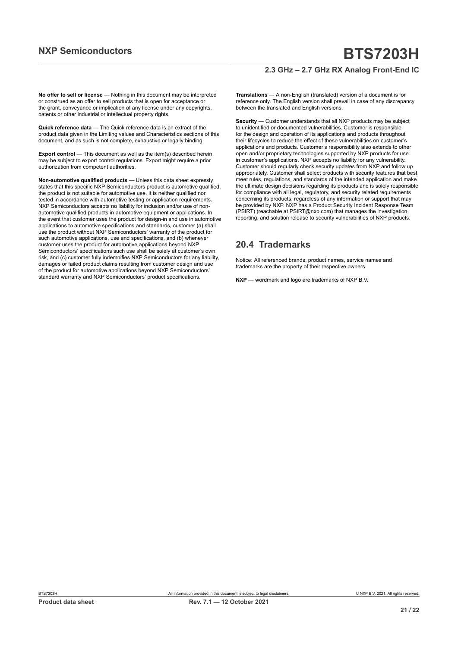#### **2.3 GHz – 2.7 GHz RX Analog Front-End IC**

**No offer to sell or license** — Nothing in this document may be interpreted or construed as an offer to sell products that is open for acceptance or the grant, conveyance or implication of any license under any copyrights, patents or other industrial or intellectual property rights.

**Quick reference data** — The Quick reference data is an extract of the product data given in the Limiting values and Characteristics sections of this document, and as such is not complete, exhaustive or legally binding.

**Export control** — This document as well as the item(s) described herein may be subject to export control regulations. Export might require a prior authorization from competent authorities.

**Non-automotive qualified products** — Unless this data sheet expressly states that this specific NXP Semiconductors product is automotive qualified, the product is not suitable for automotive use. It is neither qualified nor tested in accordance with automotive testing or application requirements. NXP Semiconductors accepts no liability for inclusion and/or use of nonautomotive qualified products in automotive equipment or applications. In the event that customer uses the product for design-in and use in automotive applications to automotive specifications and standards, customer (a) shall use the product without NXP Semiconductors' warranty of the product for such automotive applications, use and specifications, and (b) whenever customer uses the product for automotive applications beyond NXP Semiconductors' specifications such use shall be solely at customer's own risk, and (c) customer fully indemnifies NXP Semiconductors for any liability, damages or failed product claims resulting from customer design and use of the product for automotive applications beyond NXP Semiconductors' standard warranty and NXP Semiconductors' product specifications.

**Translations** — A non-English (translated) version of a document is for reference only. The English version shall prevail in case of any discrepancy between the translated and English versions.

**Security** — Customer understands that all NXP products may be subject to unidentified or documented vulnerabilities. Customer is responsible for the design and operation of its applications and products throughout their lifecycles to reduce the effect of these vulnerabilities on customer's applications and products. Customer's responsibility also extends to other open and/or proprietary technologies supported by NXP products for use in customer's applications. NXP accepts no liability for any vulnerability. Customer should regularly check security updates from NXP and follow up appropriately. Customer shall select products with security features that best meet rules, regulations, and standards of the intended application and make the ultimate design decisions regarding its products and is solely responsible for compliance with all legal, regulatory, and security related requirements concerning its products, regardless of any information or support that may be provided by NXP. NXP has a Product Security Incident Response Team (PSIRT) (reachable at PSIRT@nxp.com) that manages the investigation, reporting, and solution release to security vulnerabilities of NXP products.

#### **20.4 Trademarks**

Notice: All referenced brands, product names, service names and trademarks are the property of their respective owners.

**NXP** — wordmark and logo are trademarks of NXP B.V.